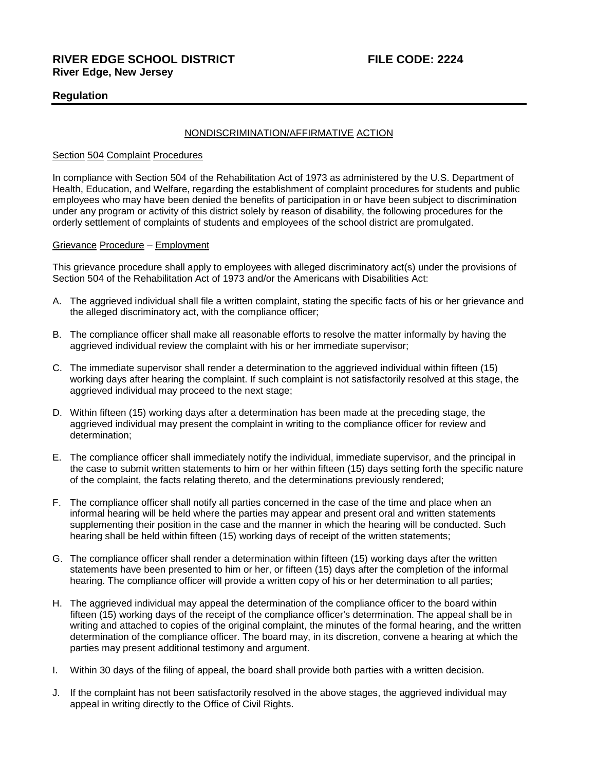# **Regulation**

### NONDISCRIMINATION/AFFIRMATIVE ACTION

#### Section 504 Complaint Procedures

In compliance with Section 504 of the Rehabilitation Act of 1973 as administered by the U.S. Department of Health, Education, and Welfare, regarding the establishment of complaint procedures for students and public employees who may have been denied the benefits of participation in or have been subject to discrimination under any program or activity of this district solely by reason of disability, the following procedures for the orderly settlement of complaints of students and employees of the school district are promulgated.

# Grievance Procedure – Employment

This grievance procedure shall apply to employees with alleged discriminatory act(s) under the provisions of Section 504 of the Rehabilitation Act of 1973 and/or the Americans with Disabilities Act:

- A. The aggrieved individual shall file a written complaint, stating the specific facts of his or her grievance and the alleged discriminatory act, with the compliance officer;
- B. The compliance officer shall make all reasonable efforts to resolve the matter informally by having the aggrieved individual review the complaint with his or her immediate supervisor;
- C. The immediate supervisor shall render a determination to the aggrieved individual within fifteen (15) working days after hearing the complaint. If such complaint is not satisfactorily resolved at this stage, the aggrieved individual may proceed to the next stage;
- D. Within fifteen (15) working days after a determination has been made at the preceding stage, the aggrieved individual may present the complaint in writing to the compliance officer for review and determination;
- E. The compliance officer shall immediately notify the individual, immediate supervisor, and the principal in the case to submit written statements to him or her within fifteen (15) days setting forth the specific nature of the complaint, the facts relating thereto, and the determinations previously rendered;
- F. The compliance officer shall notify all parties concerned in the case of the time and place when an informal hearing will be held where the parties may appear and present oral and written statements supplementing their position in the case and the manner in which the hearing will be conducted. Such hearing shall be held within fifteen (15) working days of receipt of the written statements;
- G. The compliance officer shall render a determination within fifteen (15) working days after the written statements have been presented to him or her, or fifteen (15) days after the completion of the informal hearing. The compliance officer will provide a written copy of his or her determination to all parties;
- H. The aggrieved individual may appeal the determination of the compliance officer to the board within fifteen (15) working days of the receipt of the compliance officer's determination. The appeal shall be in writing and attached to copies of the original complaint, the minutes of the formal hearing, and the written determination of the compliance officer. The board may, in its discretion, convene a hearing at which the parties may present additional testimony and argument.
- I. Within 30 days of the filing of appeal, the board shall provide both parties with a written decision.
- J. If the complaint has not been satisfactorily resolved in the above stages, the aggrieved individual may appeal in writing directly to the Office of Civil Rights.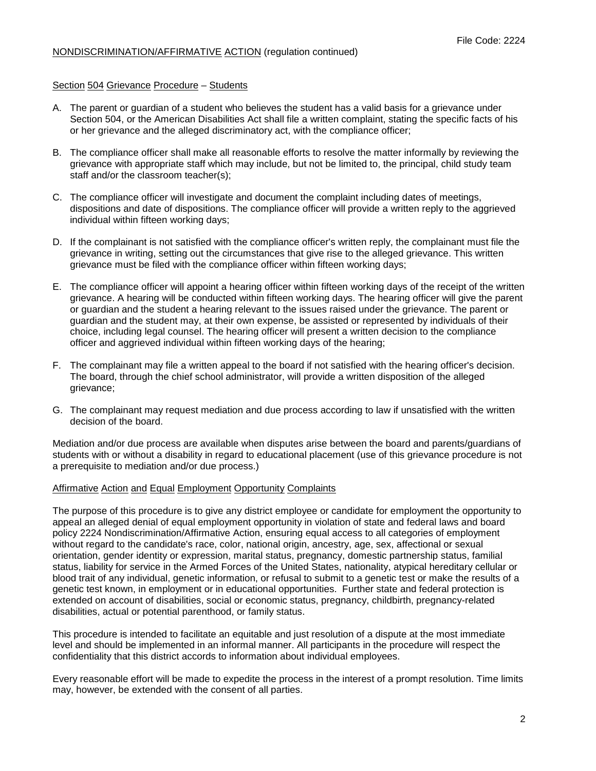# NONDISCRIMINATION/AFFIRMATIVE ACTION (regulation continued)

# Section 504 Grievance Procedure – Students

- A. The parent or guardian of a student who believes the student has a valid basis for a grievance under Section 504, or the American Disabilities Act shall file a written complaint, stating the specific facts of his or her grievance and the alleged discriminatory act, with the compliance officer;
- B. The compliance officer shall make all reasonable efforts to resolve the matter informally by reviewing the grievance with appropriate staff which may include, but not be limited to, the principal, child study team staff and/or the classroom teacher(s);
- C. The compliance officer will investigate and document the complaint including dates of meetings, dispositions and date of dispositions. The compliance officer will provide a written reply to the aggrieved individual within fifteen working days;
- D. If the complainant is not satisfied with the compliance officer's written reply, the complainant must file the grievance in writing, setting out the circumstances that give rise to the alleged grievance. This written grievance must be filed with the compliance officer within fifteen working days;
- E. The compliance officer will appoint a hearing officer within fifteen working days of the receipt of the written grievance. A hearing will be conducted within fifteen working days. The hearing officer will give the parent or guardian and the student a hearing relevant to the issues raised under the grievance. The parent or guardian and the student may, at their own expense, be assisted or represented by individuals of their choice, including legal counsel. The hearing officer will present a written decision to the compliance officer and aggrieved individual within fifteen working days of the hearing;
- F. The complainant may file a written appeal to the board if not satisfied with the hearing officer's decision. The board, through the chief school administrator, will provide a written disposition of the alleged grievance;
- G. The complainant may request mediation and due process according to law if unsatisfied with the written decision of the board.

Mediation and/or due process are available when disputes arise between the board and parents/guardians of students with or without a disability in regard to educational placement (use of this grievance procedure is not a prerequisite to mediation and/or due process.)

#### Affirmative Action and Equal Employment Opportunity Complaints

The purpose of this procedure is to give any district employee or candidate for employment the opportunity to appeal an alleged denial of equal employment opportunity in violation of state and federal laws and board policy 2224 Nondiscrimination/Affirmative Action, ensuring equal access to all categories of employment without regard to the candidate's race, color, national origin, ancestry, age, sex, affectional or sexual orientation, gender identity or expression, marital status, pregnancy, domestic partnership status, familial status, liability for service in the Armed Forces of the United States, nationality, atypical hereditary cellular or blood trait of any individual, genetic information, or refusal to submit to a genetic test or make the results of a genetic test known, in employment or in educational opportunities. Further state and federal protection is extended on account of disabilities, social or economic status, pregnancy, childbirth, pregnancy-related disabilities, actual or potential parenthood, or family status.

This procedure is intended to facilitate an equitable and just resolution of a dispute at the most immediate level and should be implemented in an informal manner. All participants in the procedure will respect the confidentiality that this district accords to information about individual employees.

Every reasonable effort will be made to expedite the process in the interest of a prompt resolution. Time limits may, however, be extended with the consent of all parties.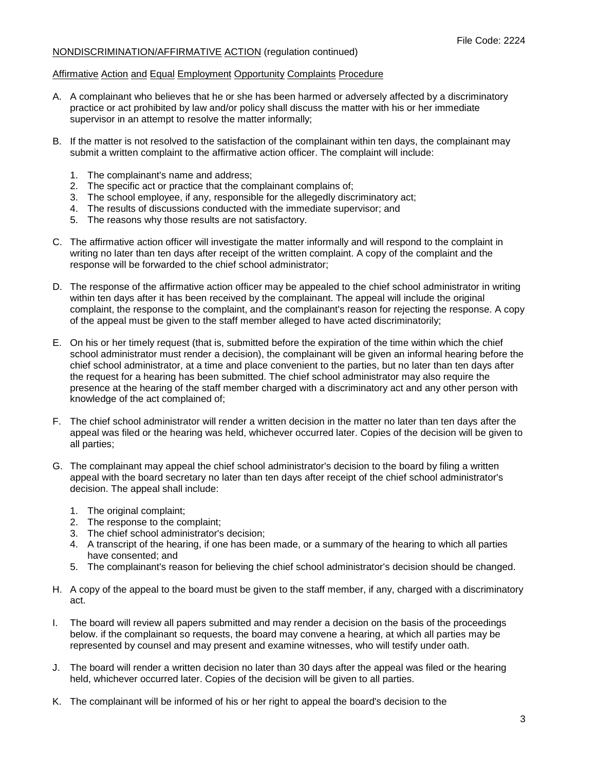# NONDISCRIMINATION/AFFIRMATIVE ACTION (regulation continued)

#### Affirmative Action and Equal Employment Opportunity Complaints Procedure

- A. A complainant who believes that he or she has been harmed or adversely affected by a discriminatory practice or act prohibited by law and/or policy shall discuss the matter with his or her immediate supervisor in an attempt to resolve the matter informally;
- B. If the matter is not resolved to the satisfaction of the complainant within ten days, the complainant may submit a written complaint to the affirmative action officer. The complaint will include:
	- 1. The complainant's name and address;
	- 2. The specific act or practice that the complainant complains of;
	- 3. The school employee, if any, responsible for the allegedly discriminatory act;
	- 4. The results of discussions conducted with the immediate supervisor; and
	- 5. The reasons why those results are not satisfactory.
- C. The affirmative action officer will investigate the matter informally and will respond to the complaint in writing no later than ten days after receipt of the written complaint. A copy of the complaint and the response will be forwarded to the chief school administrator;
- D. The response of the affirmative action officer may be appealed to the chief school administrator in writing within ten days after it has been received by the complainant. The appeal will include the original complaint, the response to the complaint, and the complainant's reason for rejecting the response. A copy of the appeal must be given to the staff member alleged to have acted discriminatorily;
- E. On his or her timely request (that is, submitted before the expiration of the time within which the chief school administrator must render a decision), the complainant will be given an informal hearing before the chief school administrator, at a time and place convenient to the parties, but no later than ten days after the request for a hearing has been submitted. The chief school administrator may also require the presence at the hearing of the staff member charged with a discriminatory act and any other person with knowledge of the act complained of;
- F. The chief school administrator will render a written decision in the matter no later than ten days after the appeal was filed or the hearing was held, whichever occurred later. Copies of the decision will be given to all parties;
- G. The complainant may appeal the chief school administrator's decision to the board by filing a written appeal with the board secretary no later than ten days after receipt of the chief school administrator's decision. The appeal shall include:
	- 1. The original complaint;
	- 2. The response to the complaint;
	- 3. The chief school administrator's decision;
	- 4. A transcript of the hearing, if one has been made, or a summary of the hearing to which all parties have consented; and
	- 5. The complainant's reason for believing the chief school administrator's decision should be changed.
- H. A copy of the appeal to the board must be given to the staff member, if any, charged with a discriminatory act.
- I. The board will review all papers submitted and may render a decision on the basis of the proceedings below. if the complainant so requests, the board may convene a hearing, at which all parties may be represented by counsel and may present and examine witnesses, who will testify under oath.
- J. The board will render a written decision no later than 30 days after the appeal was filed or the hearing held, whichever occurred later. Copies of the decision will be given to all parties.
- K. The complainant will be informed of his or her right to appeal the board's decision to the